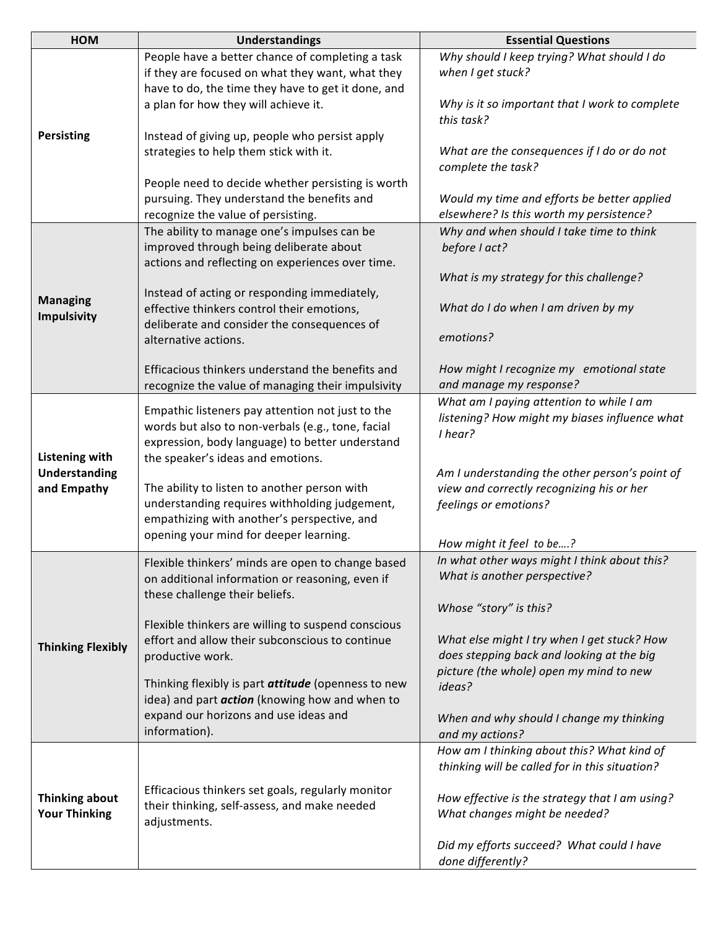| HOM                                           | <b>Understandings</b>                                                                        | <b>Essential Questions</b>                                    |
|-----------------------------------------------|----------------------------------------------------------------------------------------------|---------------------------------------------------------------|
|                                               | People have a better chance of completing a task                                             | Why should I keep trying? What should I do                    |
|                                               | if they are focused on what they want, what they                                             | when I get stuck?                                             |
|                                               | have to do, the time they have to get it done, and                                           |                                                               |
|                                               | a plan for how they will achieve it.                                                         | Why is it so important that I work to complete                |
|                                               |                                                                                              | this task?                                                    |
| <b>Persisting</b>                             | Instead of giving up, people who persist apply                                               |                                                               |
|                                               | strategies to help them stick with it.                                                       | What are the consequences if I do or do not                   |
|                                               |                                                                                              | complete the task?                                            |
|                                               | People need to decide whether persisting is worth                                            |                                                               |
|                                               | pursuing. They understand the benefits and                                                   | Would my time and efforts be better applied                   |
|                                               | recognize the value of persisting.                                                           | elsewhere? Is this worth my persistence?                      |
|                                               | The ability to manage one's impulses can be                                                  | Why and when should I take time to think                      |
|                                               | improved through being deliberate about                                                      | before I act?                                                 |
|                                               | actions and reflecting on experiences over time.                                             |                                                               |
|                                               |                                                                                              | What is my strategy for this challenge?                       |
| <b>Managing</b>                               | Instead of acting or responding immediately,                                                 |                                                               |
| <b>Impulsivity</b>                            | effective thinkers control their emotions,                                                   | What do I do when I am driven by my                           |
|                                               | deliberate and consider the consequences of                                                  | emotions?                                                     |
|                                               | alternative actions.                                                                         |                                                               |
|                                               | Efficacious thinkers understand the benefits and                                             | How might I recognize my emotional state                      |
|                                               | recognize the value of managing their impulsivity                                            | and manage my response?                                       |
|                                               |                                                                                              | What am I paying attention to while I am                      |
|                                               | Empathic listeners pay attention not just to the                                             | listening? How might my biases influence what                 |
|                                               | words but also to non-verbals (e.g., tone, facial                                            | I hear?                                                       |
|                                               | expression, body language) to better understand                                              |                                                               |
| <b>Listening with</b>                         | the speaker's ideas and emotions.                                                            |                                                               |
| <b>Understanding</b>                          |                                                                                              | Am I understanding the other person's point of                |
| and Empathy                                   | The ability to listen to another person with                                                 | view and correctly recognizing his or her                     |
|                                               | understanding requires withholding judgement,<br>empathizing with another's perspective, and | feelings or emotions?                                         |
|                                               | opening your mind for deeper learning.                                                       |                                                               |
|                                               |                                                                                              | How might it feel to be?                                      |
|                                               | Flexible thinkers' minds are open to change based                                            | In what other ways might I think about this?                  |
|                                               | on additional information or reasoning, even if                                              | What is another perspective?                                  |
|                                               | these challenge their beliefs.                                                               |                                                               |
|                                               |                                                                                              | Whose "story" is this?                                        |
|                                               | Flexible thinkers are willing to suspend conscious                                           |                                                               |
| <b>Thinking Flexibly</b>                      | effort and allow their subconscious to continue                                              | What else might I try when I get stuck? How                   |
|                                               | productive work.                                                                             | does stepping back and looking at the big                     |
|                                               | Thinking flexibly is part <i>attitude</i> (openness to new                                   | picture (the whole) open my mind to new                       |
|                                               | idea) and part <i>action</i> (knowing how and when to                                        | ideas?                                                        |
|                                               | expand our horizons and use ideas and                                                        |                                                               |
|                                               | information).                                                                                | When and why should I change my thinking                      |
| <b>Thinking about</b><br><b>Your Thinking</b> |                                                                                              | and my actions?<br>How am I thinking about this? What kind of |
|                                               |                                                                                              | thinking will be called for in this situation?                |
|                                               |                                                                                              |                                                               |
|                                               | Efficacious thinkers set goals, regularly monitor                                            | How effective is the strategy that I am using?                |
|                                               | their thinking, self-assess, and make needed                                                 | What changes might be needed?                                 |
|                                               | adjustments.                                                                                 |                                                               |
|                                               |                                                                                              | Did my efforts succeed? What could I have                     |
|                                               |                                                                                              | done differently?                                             |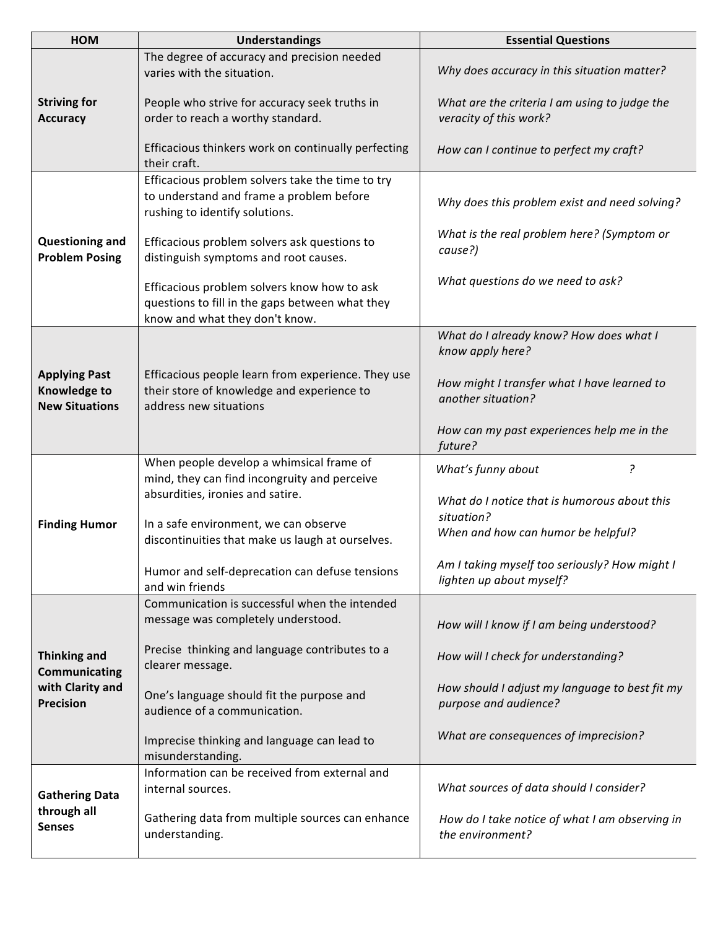| HOM                                                                                 | <b>Understandings</b>                                                                                                            | <b>Essential Questions</b>                                                                       |
|-------------------------------------------------------------------------------------|----------------------------------------------------------------------------------------------------------------------------------|--------------------------------------------------------------------------------------------------|
| <b>Striving for</b><br><b>Accuracy</b>                                              | The degree of accuracy and precision needed<br>varies with the situation.                                                        | Why does accuracy in this situation matter?                                                      |
|                                                                                     | People who strive for accuracy seek truths in<br>order to reach a worthy standard.                                               | What are the criteria I am using to judge the<br>veracity of this work?                          |
|                                                                                     | Efficacious thinkers work on continually perfecting<br>their craft.                                                              | How can I continue to perfect my craft?                                                          |
| <b>Questioning and</b><br><b>Problem Posing</b>                                     | Efficacious problem solvers take the time to try<br>to understand and frame a problem before<br>rushing to identify solutions.   | Why does this problem exist and need solving?                                                    |
|                                                                                     | Efficacious problem solvers ask questions to<br>distinguish symptoms and root causes.                                            | What is the real problem here? (Symptom or<br>cause?)                                            |
|                                                                                     | Efficacious problem solvers know how to ask<br>questions to fill in the gaps between what they<br>know and what they don't know. | What questions do we need to ask?                                                                |
| <b>Applying Past</b><br><b>Knowledge to</b><br><b>New Situations</b>                |                                                                                                                                  | What do I already know? How does what I<br>know apply here?                                      |
|                                                                                     | Efficacious people learn from experience. They use<br>their store of knowledge and experience to<br>address new situations       | How might I transfer what I have learned to<br>another situation?                                |
|                                                                                     |                                                                                                                                  | How can my past experiences help me in the<br>future?                                            |
| <b>Finding Humor</b>                                                                | When people develop a whimsical frame of<br>mind, they can find incongruity and perceive<br>absurdities, ironies and satire.     | ?<br>What's funny about                                                                          |
|                                                                                     | In a safe environment, we can observe<br>discontinuities that make us laugh at ourselves.                                        | What do I notice that is humorous about this<br>situation?<br>When and how can humor be helpful? |
|                                                                                     | Humor and self-deprecation can defuse tensions<br>and win friends                                                                | Am I taking myself too seriously? How might I<br>lighten up about myself?                        |
| <b>Thinking and</b><br><b>Communicating</b><br>with Clarity and<br><b>Precision</b> | Communication is successful when the intended<br>message was completely understood.                                              | How will I know if I am being understood?                                                        |
|                                                                                     | Precise thinking and language contributes to a<br>clearer message.                                                               | How will I check for understanding?                                                              |
|                                                                                     | One's language should fit the purpose and<br>audience of a communication.                                                        | How should I adjust my language to best fit my<br>purpose and audience?                          |
|                                                                                     | Imprecise thinking and language can lead to<br>misunderstanding.                                                                 | What are consequences of imprecision?                                                            |
| <b>Gathering Data</b><br>through all<br><b>Senses</b>                               | Information can be received from external and<br>internal sources.                                                               | What sources of data should I consider?                                                          |
|                                                                                     | Gathering data from multiple sources can enhance<br>understanding.                                                               | How do I take notice of what I am observing in<br>the environment?                               |